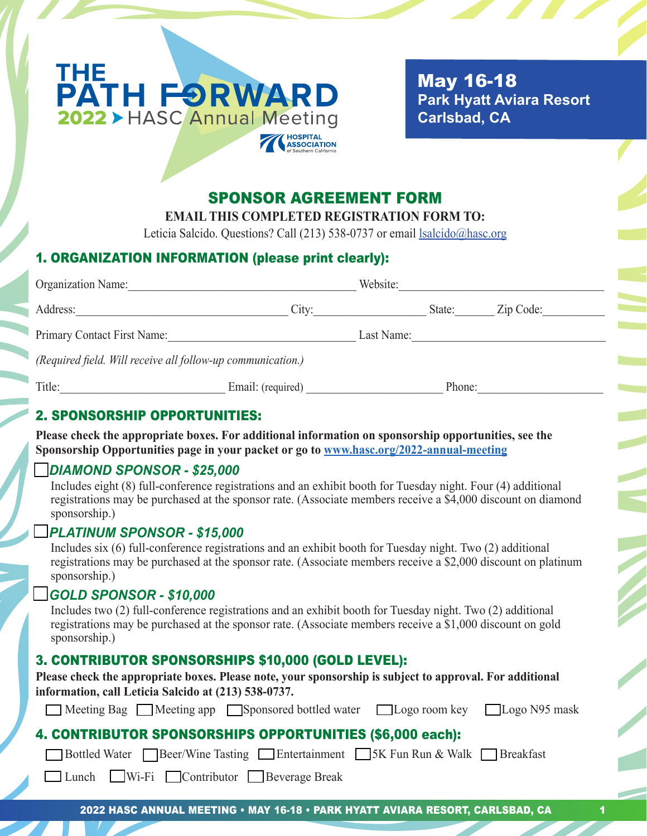

 May 16-18  **Park Hyatt Aviara Resort Carlsbad, CA**

## SPONSOR AGREEMENT FORM

**EMAIL THIS COMPLETED REGISTRATION FORM TO:**

Leticia Salcido. Questions? Call (213) 538-0737 or email lsalcido@hasc.org

## 1. ORGANIZATION INFORMATION (please print clearly):

| Organization Name:                                          | Website:          |            |        |           |
|-------------------------------------------------------------|-------------------|------------|--------|-----------|
| Address:                                                    | City:             |            | State: | Zip Code: |
| Primary Contact First Name:                                 |                   | Last Name: |        |           |
| (Required field. Will receive all follow-up communication.) |                   |            |        |           |
| Title:                                                      | Email: (required) |            | Phone: |           |
| , a lia a raille a rra reillieiea                           |                   |            |        |           |

### 2. SPONSORSHIP OPPORTUNITIES:

**Please check the appropriate boxes. For additional information on sponsorship opportunities, see the Sponsorship Opportunities page in your packet or go to www.hasc.org/2022-annual-meeting**

## o *DIAMOND SPONSOR - \$25,000*

 Includes eight (8) full-conference registrations and an exhibit booth for Tuesday night. Four (4) additional registrations may be purchased at the sponsor rate. (Associate members receive a \$4,000 discount on diamond sponsorship.)

#### o *PLATINUM SPONSOR - \$15,000*

 Includes six (6) full-conference registrations and an exhibit booth for Tuesday night. Two (2) additional registrations may be purchased at the sponsor rate. (Associate members receive a \$2,000 discount on platinum sponsorship.)

#### o *GOLD SPONSOR - \$10,000*

 Includes two (2) full-conference registrations and an exhibit booth for Tuesday night. Two (2) additional registrations may be purchased at the sponsor rate. (Associate members receive a \$1,000 discount on gold sponsorship.)

## 3. CONTRIBUTOR SPONSORSHIPS \$10,000 (GOLD LEVEL):

| Please check the appropriate boxes. Please note, your sponsorship is subject to approval. For additional |
|----------------------------------------------------------------------------------------------------------|
| information, call Leticia Salcido at (213) 538-0737.                                                     |

|  | ■ Meeting Bag ■ Meeting app ■ Sponsored bottled water ■ Logo room key ■ Logo N95 mask |  |
|--|---------------------------------------------------------------------------------------|--|
|  |                                                                                       |  |

# 4. CONTRIBUTOR SPONSORSHIPS OPPORTUNITIES (\$6,000 each):

**O Bottled Water Cassille Beer/Wine Tasting Conference Contrainment Conference SK Fun Run & Walk Conference Breakfast** 

**Example 1** Wi-Fi **Contributor** Beverage Break